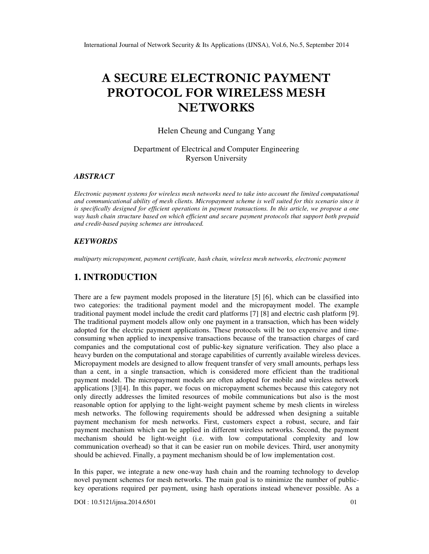# A SECURE ELECTRONIC PAYMENT PROTOCOL FOR WIRELESS MESH **NETWORKS**

Helen Cheung and Cungang Yang

Department of Electrical and Computer Engineering Ryerson University

### *ABSTRACT*

*Electronic payment systems for wireless mesh networks need to take into account the limited computational and communicational ability of mesh clients. Micropayment scheme is well suited for this scenario since it is specifically designed for efficient operations in payment transactions. In this article, we propose a one way hash chain structure based on which efficient and secure payment protocols that support both prepaid and credit-based paying schemes are introduced.* 

### *KEYWORDS*

*multiparty micropayment, payment certificate, hash chain, wireless mesh networks, electronic payment*

# **1. INTRODUCTION**

There are a few payment models proposed in the literature [5] [6], which can be classified into two categories: the traditional payment model and the micropayment model. The example traditional payment model include the credit card platforms [7] [8] and electric cash platform [9]. The traditional payment models allow only one payment in a transaction, which has been widely adopted for the electric payment applications. These protocols will be too expensive and timeconsuming when applied to inexpensive transactions because of the transaction charges of card companies and the computational cost of public-key signature verification. They also place a heavy burden on the computational and storage capabilities of currently available wireless devices. Micropayment models are designed to allow frequent transfer of very small amounts, perhaps less than a cent, in a single transaction, which is considered more efficient than the traditional payment model. The micropayment models are often adopted for mobile and wireless network applications [3][4]. In this paper, we focus on micropayment schemes because this category not only directly addresses the limited resources of mobile communications but also is the most reasonable option for applying to the light-weight payment scheme by mesh clients in wireless mesh networks. The following requirements should be addressed when designing a suitable payment mechanism for mesh networks. First, customers expect a robust, secure, and fair payment mechanism which can be applied in different wireless networks. Second, the payment mechanism should be light-weight (i.e. with low computational complexity and low communication overhead) so that it can be easier run on mobile devices. Third, user anonymity should be achieved. Finally, a payment mechanism should be of low implementation cost.

In this paper, we integrate a new one-way hash chain and the roaming technology to develop novel payment schemes for mesh networks. The main goal is to minimize the number of publickey operations required per payment, using hash operations instead whenever possible. As a

DOI : 10.5121/ijnsa.2014.6501 01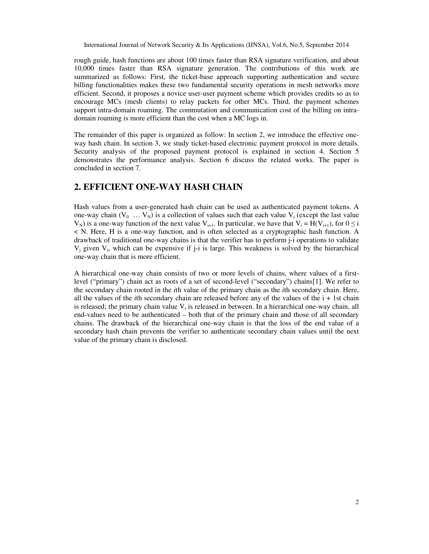rough guide, hash functions are about 100 times faster than RSA signature verification, and about 10,000 times faster than RSA signature generation. The contributions of this work are summarized as follows: First, the ticket-base approach supporting authentication and secure billing functionalities makes these two fundamental security operations in mesh networks more efficient. Second, it proposes a novice user-user payment scheme which provides credits so as to encourage MCs (mesh clients) to relay packets for other MCs. Third, the payment schemes support intra-domain roaming. The commutation and communication cost of the billing on intradomain roaming is more efficient than the cost when a MC logs in.

The remainder of this paper is organized as follow: In section 2, we introduce the effective oneway hash chain. In section 3, we study ticket-based electronic payment protocol in more details. Security analysis of the proposed payment protocol is explained in section 4. Section 5 demonstrates the performance analysis. Section 6 discuss the related works. The paper is concluded in section 7.

# **2. EFFICIENT ONE-WAY HASH CHAIN**

Hash values from a user-generated hash chain can be used as authenticated payment tokens. A one-way chain  $(V_0 ... V_N)$  is a collection of values such that each value  $V_i$  (except the last value  $V_N$ ) is a one-way function of the next value  $V_{i+1}$ . In particular, we have that  $V_i = H(V_{i+1})$ , for  $0 \le i$ < N. Here, H is a one-way function, and is often selected as a cryptographic hash function. A drawback of traditional one-way chains is that the verifier has to perform j-i operations to validate  $V_j$  given  $V_i$ , which can be expensive if j-i is large. This weakness is solved by the hierarchical one-way chain that is more efficient.

A hierarchical one-way chain consists of two or more levels of chains, where values of a firstlevel ("primary") chain act as roots of a set of second-level ("secondary") chains[1]. We refer to the secondary chain rooted in the *i*th value of the primary chain as the *i*th secondary chain. Here, all the values of the *i*th secondary chain are released before any of the values of the  $i + 1$ st chain is released; the primary chain value  $V_i$  is released in between. In a hierarchical one-way chain, all end-values need to be authenticated – both that of the primary chain and those of all secondary chains. The drawback of the hierarchical one-way chain is that the loss of the end value of a secondary hash chain prevents the verifier to authenticate secondary chain values until the next value of the primary chain is disclosed.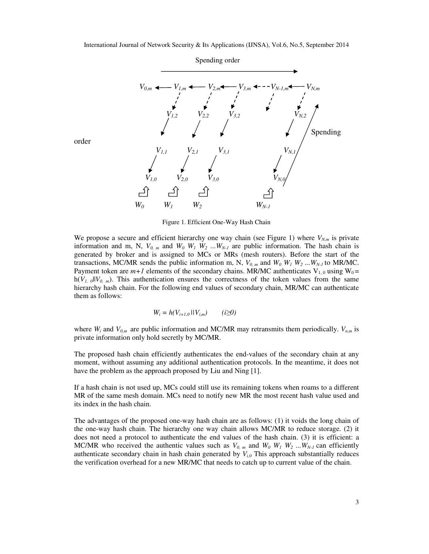

order

Figure 1. Efficient One-Way Hash Chain

We propose a secure and efficient hierarchy one way chain (see Figure 1) where  $V_{N,m}$  is private information and m, N,  $V_{0,m}$  and  $W_0$   $W_1$   $W_2$  ...  $W_{N-1}$  are public information. The hash chain is generated by broker and is assigned to MCs or MRs (mesh routers). Before the start of the transactions, MC/MR sends the public information m, N,  $V_{0,m}$  and  $W_0$   $W_1$   $W_2$  ...  $W_{N-1}$  to MR/MC. Payment token are  $m+1$  elements of the secondary chains. MR/MC authenticates  $V_{1,0}$  using  $W_0 =$  $h(V_{I, 0}||V_{0, m})$ . This authentication ensures the correctness of the token values from the same hierarchy hash chain. For the following end values of secondary chain, MR/MC can authenticate them as follows:

$$
W_i = h(V_{i+1,0} \mid\mid V_{i,m}) \qquad (i \ge 0)
$$

where  $W_i$  and  $V_{0,m}$  are public information and MC/MR may retransmits them periodically.  $V_{n,m}$  is private information only hold secretly by MC/MR.

The proposed hash chain efficiently authenticates the end-values of the secondary chain at any moment, without assuming any additional authentication protocols. In the meantime, it does not have the problem as the approach proposed by Liu and Ning [1].

If a hash chain is not used up, MCs could still use its remaining tokens when roams to a different MR of the same mesh domain. MCs need to notify new MR the most recent hash value used and its index in the hash chain.

The advantages of the proposed one-way hash chain are as follows: (1) it voids the long chain of the one-way hash chain. The hierarchy one way chain allows MC/MR to reduce storage. (2) it does not need a protocol to authenticate the end values of the hash chain. (3) it is efficient: a MC/MR who received the authentic values such as  $V_{0,m}$  and  $W_0$   $W_1$   $W_2$  ...  $W_{N-1}$  can efficiently authenticate secondary chain in hash chain generated by  $V_{i0}$  This approach substantially reduces the verification overhead for a new MR/MC that needs to catch up to current value of the chain.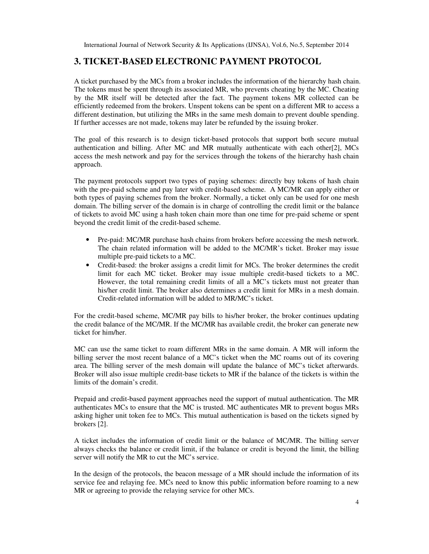# **3. TICKET-BASED ELECTRONIC PAYMENT PROTOCOL**

A ticket purchased by the MCs from a broker includes the information of the hierarchy hash chain. The tokens must be spent through its associated MR, who prevents cheating by the MC. Cheating by the MR itself will be detected after the fact. The payment tokens MR collected can be efficiently redeemed from the brokers. Unspent tokens can be spent on a different MR to access a different destination, but utilizing the MRs in the same mesh domain to prevent double spending. If further accesses are not made, tokens may later be refunded by the issuing broker.

The goal of this research is to design ticket-based protocols that support both secure mutual authentication and billing. After MC and MR mutually authenticate with each other[2], MCs access the mesh network and pay for the services through the tokens of the hierarchy hash chain approach.

The payment protocols support two types of paying schemes: directly buy tokens of hash chain with the pre-paid scheme and pay later with credit-based scheme. A MC/MR can apply either or both types of paying schemes from the broker. Normally, a ticket only can be used for one mesh domain. The billing server of the domain is in charge of controlling the credit limit or the balance of tickets to avoid MC using a hash token chain more than one time for pre-paid scheme or spent beyond the credit limit of the credit-based scheme.

- Pre-paid: MC/MR purchase hash chains from brokers before accessing the mesh network. The chain related information will be added to the MC/MR's ticket. Broker may issue multiple pre-paid tickets to a MC.
- Credit-based: the broker assigns a credit limit for MCs. The broker determines the credit limit for each MC ticket. Broker may issue multiple credit-based tickets to a MC. However, the total remaining credit limits of all a MC's tickets must not greater than his/her credit limit. The broker also determines a credit limit for MRs in a mesh domain. Credit-related information will be added to MR/MC's ticket.

For the credit-based scheme, MC/MR pay bills to his/her broker, the broker continues updating the credit balance of the MC/MR. If the MC/MR has available credit, the broker can generate new ticket for him/her.

MC can use the same ticket to roam different MRs in the same domain. A MR will inform the billing server the most recent balance of a MC's ticket when the MC roams out of its covering area. The billing server of the mesh domain will update the balance of MC's ticket afterwards. Broker will also issue multiple credit-base tickets to MR if the balance of the tickets is within the limits of the domain's credit.

Prepaid and credit-based payment approaches need the support of mutual authentication. The MR authenticates MCs to ensure that the MC is trusted. MC authenticates MR to prevent bogus MRs asking higher unit token fee to MCs. This mutual authentication is based on the tickets signed by brokers [2].

A ticket includes the information of credit limit or the balance of MC/MR. The billing server always checks the balance or credit limit, if the balance or credit is beyond the limit, the billing server will notify the MR to cut the MC's service.

In the design of the protocols, the beacon message of a MR should include the information of its service fee and relaying fee. MCs need to know this public information before roaming to a new MR or agreeing to provide the relaying service for other MCs.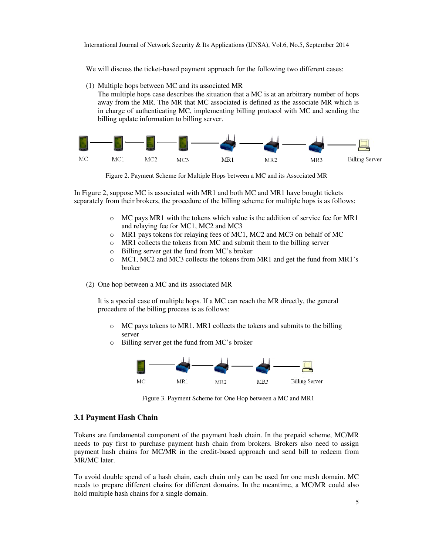We will discuss the ticket-based payment approach for the following two different cases:

(1) Multiple hops between MC and its associated MR

The multiple hops case describes the situation that a MC is at an arbitrary number of hops away from the MR. The MR that MC associated is defined as the associate MR which is in charge of authenticating MC, implementing billing protocol with MC and sending the billing update information to billing server.



Figure 2. Payment Scheme for Multiple Hops between a MC and its Associated MR

In Figure 2, suppose MC is associated with MR1 and both MC and MR1 have bought tickets separately from their brokers, the procedure of the billing scheme for multiple hops is as follows:

- $\circ$  MC pays MR1 with the tokens which value is the addition of service fee for MR1 and relaying fee for MC1, MC2 and MC3
- o MR1 pays tokens for relaying fees of MC1, MC2 and MC3 on behalf of MC
- o MR1 collects the tokens from MC and submit them to the billing server
- o Billing server get the fund from MC's broker
- $\circ$  MC1, MC2 and MC3 collects the tokens from MR1 and get the fund from MR1's broker
- (2) One hop between a MC and its associated MR

It is a special case of multiple hops. If a MC can reach the MR directly, the general procedure of the billing process is as follows:

- o MC pays tokens to MR1. MR1 collects the tokens and submits to the billing server
- o Billing server get the fund from MC's broker



Figure 3. Payment Scheme for One Hop between a MC and MR1

### **3.1 Payment Hash Chain**

Tokens are fundamental component of the payment hash chain. In the prepaid scheme, MC/MR needs to pay first to purchase payment hash chain from brokers. Brokers also need to assign payment hash chains for MC/MR in the credit-based approach and send bill to redeem from MR/MC later.

To avoid double spend of a hash chain, each chain only can be used for one mesh domain. MC needs to prepare different chains for different domains. In the meantime, a MC/MR could also hold multiple hash chains for a single domain.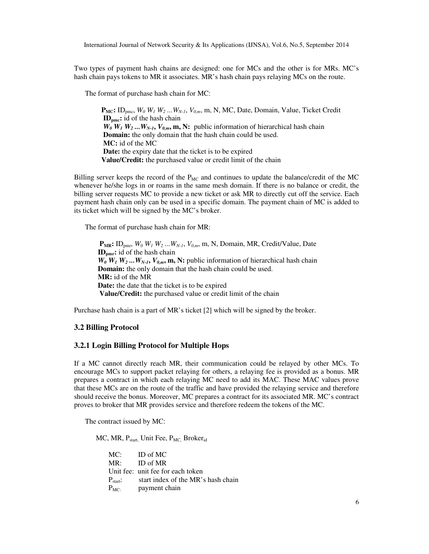Two types of payment hash chains are designed: one for MCs and the other is for MRs. MC's hash chain pays tokens to MR it associates. MR's hash chain pays relaying MCs on the route.

The format of purchase hash chain for MC:

 $P_{MC}$ **:** ID<sub>pmc</sub>,  $W_0$   $W_1$   $W_2$  ...  $W_{N-1}$ ,  $V_{0,m}$ , m, N, MC, Date, Domain, Value, Ticket Credit **IDpmc:** id of the hash chain  $W_0$   $W_1$   $W_2$  ...  $W_{N-1}$ ,  $V_{0,m}$ ,  $m$ , N: public information of hierarchical hash chain **Domain:** the only domain that the hash chain could be used.  **MC:** id of the MC **Date:** the expiry date that the ticket is to be expired **Value/Credit:** the purchased value or credit limit of the chain

Billing server keeps the record of the  $P_{MC}$  and continues to update the balance/credit of the MC whenever he/she logs in or roams in the same mesh domain. If there is no balance or credit, the billing server requests MC to provide a new ticket or ask MR to directly cut off the service. Each payment hash chain only can be used in a specific domain. The payment chain of MC is added to its ticket which will be signed by the MC's broker.

The format of purchase hash chain for MR:

 $P_{MR}$ : ID<sub>pmr</sub>,  $W_0$   $W_1$   $W_2$  ...  $W_{N-1}$ ,  $V_{0,m}$ , m, N, Domain, MR, Credit/Value, Date **IDpmr:** id of the hash chain  $W_0$   $W_1$   $W_2$  ...  $W_{N-1}$ ,  $V_{0,m}$ ,  $m$ ,  $N$ : public information of hierarchical hash chain **Domain:** the only domain that the hash chain could be used. **MR:** id of the MR **Date:** the date that the ticket is to be expired **Value/Credit:** the purchased value or credit limit of the chain

Purchase hash chain is a part of MR's ticket [2] which will be signed by the broker.

#### **3.2 Billing Protocol**

### **3.2.1 Login Billing Protocol for Multiple Hops**

If a MC cannot directly reach MR, their communication could be relayed by other MCs. To encourage MCs to support packet relaying for others, a relaying fee is provided as a bonus. MR prepares a contract in which each relaying MC need to add its MAC. These MAC values prove that these MCs are on the route of the traffic and have provided the relaying service and therefore should receive the bonus. Moreover, MC prepares a contract for its associated MR. MC's contract proves to broker that MR provides service and therefore redeem the tokens of the MC.

The contract issued by MC:

MC, MR, P<sub>start,</sub> Unit Fee, P<sub>MC,</sub> Broker<sub>id</sub>

| $MC:$ ID of MC                                   |
|--------------------------------------------------|
| $MR:$ ID of MR                                   |
| Unit fee: unit fee for each token                |
| $P_{start}$ : start index of the MR's hash chain |
| $P_{MC}$ payment chain                           |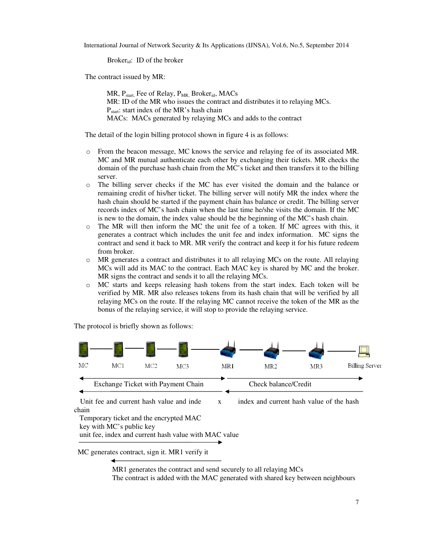Broker $_{\rm id}$ : ID of the broker

The contract issued by MR:

MR,  $P_{start}$  Fee of Relay,  $P_{MR}$  Broker<sub>id</sub>, MACs MR: ID of the MR who issues the contract and distributes it to relaying MCs.  $P_{start}$ : start index of the MR's hash chain MACs: MACs generated by relaying MCs and adds to the contract

The detail of the login billing protocol shown in figure 4 is as follows:

- o From the beacon message, MC knows the service and relaying fee of its associated MR. MC and MR mutual authenticate each other by exchanging their tickets. MR checks the domain of the purchase hash chain from the MC's ticket and then transfers it to the billing server.
- o The billing server checks if the MC has ever visited the domain and the balance or remaining credit of his/her ticket. The billing server will notify MR the index where the hash chain should be started if the payment chain has balance or credit. The billing server records index of MC's hash chain when the last time he/she visits the domain. If the MC is new to the domain, the index value should be the beginning of the MC's hash chain.
- $\circ$  The MR will then inform the MC the unit fee of a token. If MC agrees with this, it generates a contract which includes the unit fee and index information. MC signs the contract and send it back to MR. MR verify the contract and keep it for his future redeem from broker.
- MR generates a contract and distributes it to all relaying MCs on the route. All relaying MCs will add its MAC to the contract. Each MAC key is shared by MC and the broker. MR signs the contract and sends it to all the relaying MCs.
- o MC starts and keeps releasing hash tokens from the start index. Each token will be verified by MR. MR also releases tokens from its hash chain that will be verified by all relaying MCs on the route. If the relaying MC cannot receive the token of the MR as the bonus of the relaying service, it will stop to provide the relaying service.

The protocol is briefly shown as follows:



unit fee, index and current hash value with MAC value

MC generates contract, sign it. MR1 verify it

 MR1 generates the contract and send securely to all relaying MCs The contract is added with the MAC generated with shared key between neighbours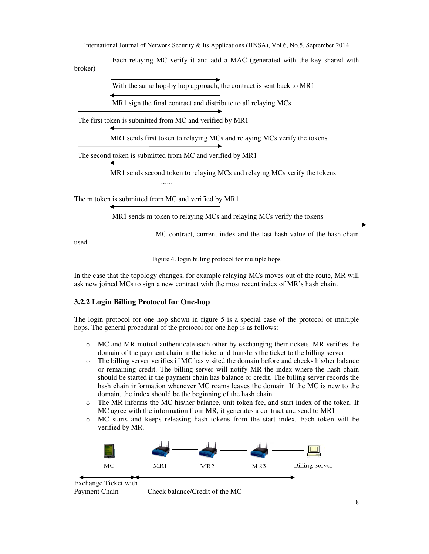Each relaying MC verify it and add a MAC (generated with the key shared with broker)

With the same hop-by hop approach, the contract is sent back to MR1

MR1 sign the final contract and distribute to all relaying MCs

The first token is submitted from MC and verified by MR1

MR1 sends first token to relaying MCs and relaying MCs verify the tokens

The second token is submitted from MC and verified by MR1

MR1 sends second token to relaying MCs and relaying MCs verify the tokens

The m token is submitted from MC and verified by MR1

......

MR1 sends m token to relaying MCs and relaying MCs verify the tokens

MC contract, current index and the last hash value of the hash chain

used

Figure 4. login billing protocol for multiple hops

In the case that the topology changes, for example relaying MCs moves out of the route, MR will ask new joined MCs to sign a new contract with the most recent index of MR's hash chain.

### **3.2.2 Login Billing Protocol for One-hop**

The login protocol for one hop shown in figure 5 is a special case of the protocol of multiple hops. The general procedural of the protocol for one hop is as follows:

- o MC and MR mutual authenticate each other by exchanging their tickets. MR verifies the domain of the payment chain in the ticket and transfers the ticket to the billing server.
- o The billing server verifies if MC has visited the domain before and checks his/her balance or remaining credit. The billing server will notify MR the index where the hash chain should be started if the payment chain has balance or credit. The billing server records the hash chain information whenever MC roams leaves the domain. If the MC is new to the domain, the index should be the beginning of the hash chain.
- o The MR informs the MC his/her balance, unit token fee, and start index of the token. If MC agree with the information from MR, it generates a contract and send to MR1
- o MC starts and keeps releasing hash tokens from the start index. Each token will be verified by MR.

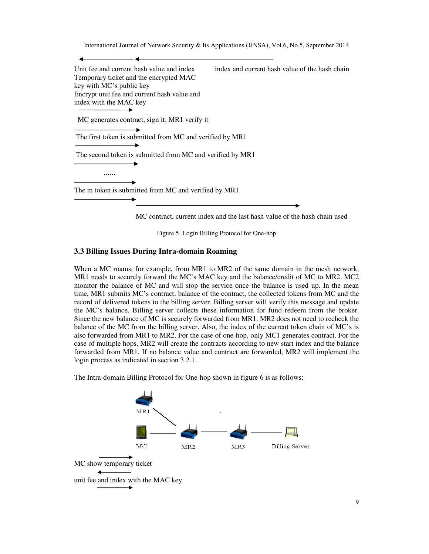Unit fee and current hash value and index index and current hash value of the hash chain Temporary ticket and the encrypted MAC key with MC's public key Encrypt unit fee and current hash value and index with the MAC key  $\overline{\phantom{a}}$  MC generates contract, sign it. MR1 verify it The first token is submitted from MC and verified by MR1 The second token is submitted from MC and verified by MR1 ...... The m token is submitted from MC and verified by MR1

MC contract, current index and the last hash value of the hash chain used

Figure 5. Login Billing Protocol for One-hop

### **3.3 Billing Issues During Intra-domain Roaming**

When a MC roams, for example, from MR1 to MR2 of the same domain in the mesh network, MR1 needs to securely forward the MC's MAC key and the balance/credit of MC to MR2. MC2 monitor the balance of MC and will stop the service once the balance is used up. In the mean time, MR1 submits MC's contract, balance of the contract, the collected tokens from MC and the record of delivered tokens to the billing server. Billing server will verify this message and update the MC's balance. Billing server collects these information for fund redeem from the broker. Since the new balance of MC is securely forwarded from MR1, MR2 does not need to recheck the balance of the MC from the billing server. Also, the index of the current token chain of MC's is also forwarded from MR1 to MR2. For the case of one-hop, only MC1 generates contract. For the case of multiple hops, MR2 will create the contracts according to new start index and the balance forwarded from MR1. If no balance value and contract are forwarded, MR2 will implement the login process as indicated in section 3.2.1.

The Intra-domain Billing Protocol for One-hop shown in figure 6 is as follows:

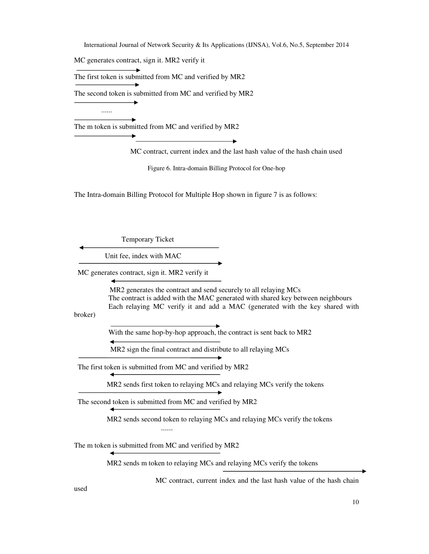MC generates contract, sign it. MR2 verify it

......

The first token is submitted from MC and verified by MR2

The second token is submitted from MC and verified by MR2

The m token is submitted from MC and verified by MR2

MC contract, current index and the last hash value of the hash chain used

Figure 6. Intra-domain Billing Protocol for One-hop

The Intra-domain Billing Protocol for Multiple Hop shown in figure 7 is as follows:

Temporary Ticket

Unit fee, index with MAC

MC generates contract, sign it. MR2 verify it

 MR2 generates the contract and send securely to all relaying MCs The contract is added with the MAC generated with shared key between neighbours Each relaying MC verify it and add a MAC (generated with the key shared with

broker)

With the same hop-by-hop approach, the contract is sent back to MR2

MR2 sign the final contract and distribute to all relaying MCs

The first token is submitted from MC and verified by MR2

MR2 sends first token to relaying MCs and relaying MCs verify the tokens

The second token is submitted from MC and verified by MR2

 MR2 sends second token to relaying MCs and relaying MCs verify the tokens ......

The m token is submitted from MC and verified by MR2

MR2 sends m token to relaying MCs and relaying MCs verify the tokens

MC contract, current index and the last hash value of the hash chain

used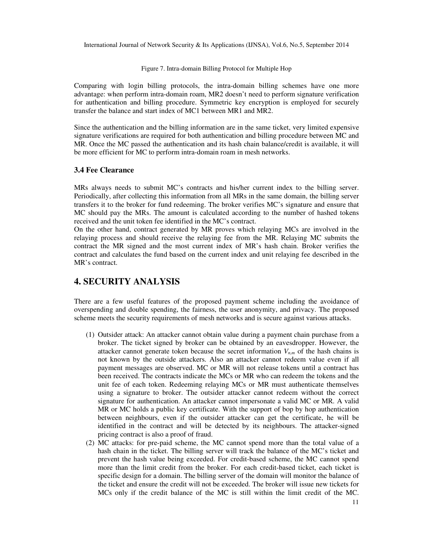Figure 7. Intra-domain Billing Protocol for Multiple Hop

Comparing with login billing protocols, the intra-domain billing schemes have one more advantage: when perform intra-domain roam, MR2 doesn't need to perform signature verification for authentication and billing procedure. Symmetric key encryption is employed for securely transfer the balance and start index of MC1 between MR1 and MR2.

Since the authentication and the billing information are in the same ticket, very limited expensive signature verifications are required for both authentication and billing procedure between MC and MR. Once the MC passed the authentication and its hash chain balance/credit is available, it will be more efficient for MC to perform intra-domain roam in mesh networks.

#### **3.4 Fee Clearance**

MRs always needs to submit MC's contracts and his/her current index to the billing server. Periodically, after collecting this information from all MRs in the same domain, the billing server transfers it to the broker for fund redeeming. The broker verifies MC's signature and ensure that MC should pay the MRs. The amount is calculated according to the number of hashed tokens received and the unit token fee identified in the MC's contract.

On the other hand, contract generated by MR proves which relaying MCs are involved in the relaying process and should receive the relaying fee from the MR. Relaying MC submits the contract the MR signed and the most current index of MR's hash chain. Broker verifies the contract and calculates the fund based on the current index and unit relaying fee described in the MR's contract.

# **4. SECURITY ANALYSIS**

There are a few useful features of the proposed payment scheme including the avoidance of overspending and double spending, the fairness, the user anonymity, and privacy. The proposed scheme meets the security requirements of mesh networks and is secure against various attacks.

- (1) Outsider attack: An attacker cannot obtain value during a payment chain purchase from a broker. The ticket signed by broker can be obtained by an eavesdropper. However, the attacker cannot generate token because the secret information  $V_{n,m}$  of the hash chains is not known by the outside attackers. Also an attacker cannot redeem value even if all payment messages are observed. MC or MR will not release tokens until a contract has been received. The contracts indicate the MCs or MR who can redeem the tokens and the unit fee of each token. Redeeming relaying MCs or MR must authenticate themselves using a signature to broker. The outsider attacker cannot redeem without the correct signature for authentication. An attacker cannot impersonate a valid MC or MR. A valid MR or MC holds a public key certificate. With the support of bop by hop authentication between neighbours, even if the outsider attacker can get the certificate, he will be identified in the contract and will be detected by its neighbours. The attacker-signed pricing contract is also a proof of fraud.
- (2) MC attacks: for pre-paid scheme, the MC cannot spend more than the total value of a hash chain in the ticket. The billing server will track the balance of the MC's ticket and prevent the hash value being exceeded. For credit-based scheme, the MC cannot spend more than the limit credit from the broker. For each credit-based ticket, each ticket is specific design for a domain. The billing server of the domain will monitor the balance of the ticket and ensure the credit will not be exceeded. The broker will issue new tickets for MCs only if the credit balance of the MC is still within the limit credit of the MC.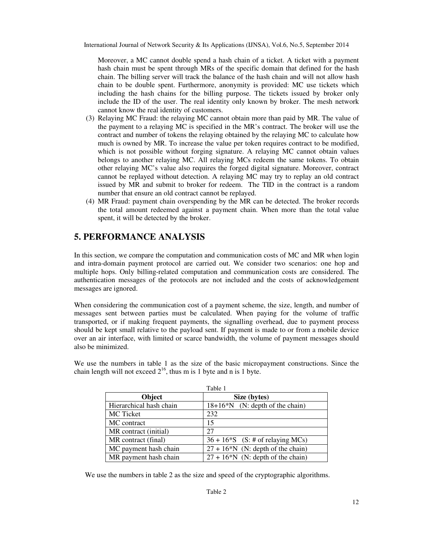Moreover, a MC cannot double spend a hash chain of a ticket. A ticket with a payment hash chain must be spent through MRs of the specific domain that defined for the hash chain. The billing server will track the balance of the hash chain and will not allow hash chain to be double spent. Furthermore, anonymity is provided: MC use tickets which including the hash chains for the billing purpose. The tickets issued by broker only include the ID of the user. The real identity only known by broker. The mesh network cannot know the real identity of customers.

- (3) Relaying MC Fraud: the relaying MC cannot obtain more than paid by MR. The value of the payment to a relaying MC is specified in the MR's contract. The broker will use the contract and number of tokens the relaying obtained by the relaying MC to calculate how much is owned by MR. To increase the value per token requires contract to be modified, which is not possible without forging signature. A relaying MC cannot obtain values belongs to another relaying MC. All relaying MCs redeem the same tokens. To obtain other relaying MC's value also requires the forged digital signature. Moreover, contract cannot be replayed without detection. A relaying MC may try to replay an old contract issued by MR and submit to broker for redeem. The TID in the contract is a random number that ensure an old contract cannot be replayed.
- (4) MR Fraud: payment chain overspending by the MR can be detected. The broker records the total amount redeemed against a payment chain. When more than the total value spent, it will be detected by the broker.

# **5. PERFORMANCE ANALYSIS**

In this section, we compare the computation and communication costs of MC and MR when login and intra-domain payment protocol are carried out. We consider two scenarios: one hop and multiple hops. Only billing-related computation and communication costs are considered. The authentication messages of the protocols are not included and the costs of acknowledgement messages are ignored.

When considering the communication cost of a payment scheme, the size, length, and number of messages sent between parties must be calculated. When paying for the volume of traffic transported, or if making frequent payments, the signalling overhead, due to payment process should be kept small relative to the payload sent. If payment is made to or from a mobile device over an air interface, with limited or scarce bandwidth, the volume of payment messages should also be minimized.

We use the numbers in table 1 as the size of the basic micropayment constructions. Since the chain length will not exceed  $2^{16}$ , thus m is 1 byte and n is 1 byte.

|                         | Table 1                             |  |  |
|-------------------------|-------------------------------------|--|--|
| Object                  | Size (bytes)                        |  |  |
| Hierarchical hash chain | $18+16*N$ (N: depth of the chain)   |  |  |
| <b>MC</b> Ticket        | 232                                 |  |  |
| MC contract             | 15                                  |  |  |
| MR contract (initial)   | 27                                  |  |  |
| MR contract (final)     | $36 + 16*$ S (S: # of relaying MCs) |  |  |
| MC payment hash chain   | $27 + 16*N$ (N: depth of the chain) |  |  |
| MR payment hash chain   | $27 + 16*N$ (N: depth of the chain) |  |  |

We use the numbers in table 2 as the size and speed of the cryptographic algorithms.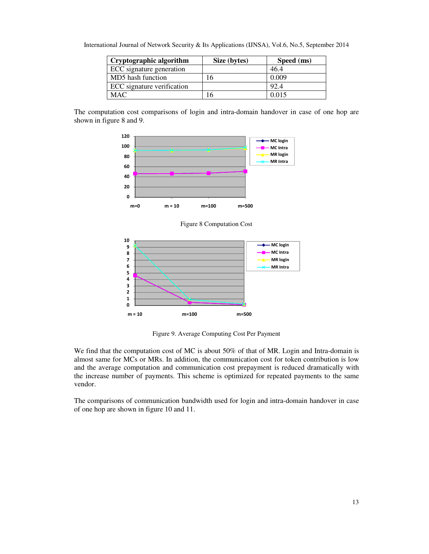| Cryptographic algorithm    | Size (bytes) | Speed (ms) |  |  |
|----------------------------|--------------|------------|--|--|
| ECC signature generation   |              | 46.4       |  |  |
| MD5 hash function          | 6.           | 0.009      |  |  |
| ECC signature verification |              | 92.4       |  |  |
| MAC.                       | 16           | 0.015      |  |  |

International Journal of Network Security & Its Applications (IJNSA), Vol.6, No.5, September 2014

The computation cost comparisons of login and intra-domain handover in case of one hop are shown in figure 8 and 9.



Figure 8 Computation Cost



Figure 9. Average Computing Cost Per Payment

We find that the computation cost of MC is about 50% of that of MR. Login and Intra-domain is almost same for MCs or MRs. In addition, the communication cost for token contribution is low and the average computation and communication cost prepayment is reduced dramatically with the increase number of payments. This scheme is optimized for repeated payments to the same vendor.

The comparisons of communication bandwidth used for login and intra-domain handover in case of one hop are shown in figure 10 and 11.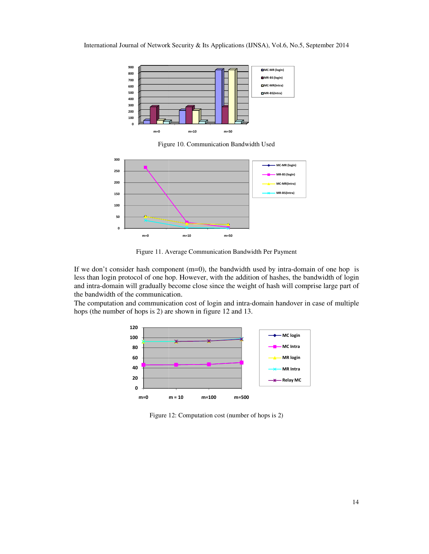

Figure 10. Communication Bandwidth Used



Figure 11. Average Communication Bandwidth Per Payment

If we don't consider hash component  $(m=0)$ , the bandwidth used by intra-domain of one hop is less than login protocol of one hop. However, with the addition of hashes, the bandwidth of login and intra-domain will gradually become close since the weight of hash will comprise la the bandwidth of the communication . It consider hash component (m=0), the bandwidth used by intra-domain of one hop is login protocol of one hop. However, with the addition of hashes, the bandwidth of login domain will gradually become close since the weigh

The computation and communication cost of login and intra-domain handover in case of multiple hops (the number of hops is 2) are shown in figure 12 and 13.



Figure 1 12: Computation cost (number of hops is 2)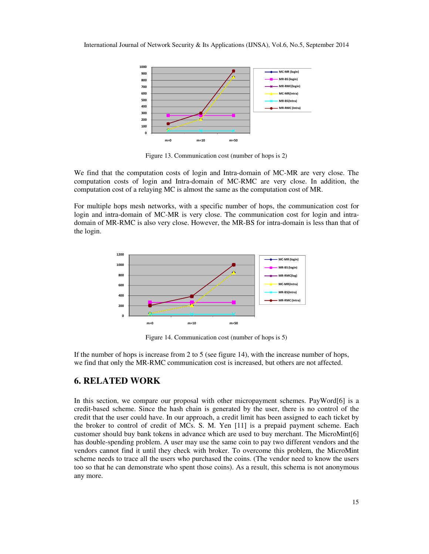

Figure 13. Communication cost (number of hops is 2)

We find that the computation costs of login and Intra-domain of MC-MR are very close. The computation costs of login and Intra-domain of MC-RMC are very close. In addition, the computation cost of a relaying MC is almost the same as the computation cost of MR.

For multiple hops mesh networks, with a specific number of hops, the communication cost for login and intra-domain of MC-MR is very close. The communication cost for login and intradomain of MR-RMC is also very close. However, the MR-BS for intra-domain is less than that of the login.



Figure 14. Communication cost (number of hops is 5)

If the number of hops is increase from 2 to 5 (see figure 14), with the increase number of hops, we find that only the MR-RMC communication cost is increased, but others are not affected.

# **6. RELATED WORK**

In this section, we compare our proposal with other micropayment schemes. PayWord[6] is a credit-based scheme. Since the hash chain is generated by the user, there is no control of the credit that the user could have. In our approach, a credit limit has been assigned to each ticket by the broker to control of credit of MCs. S. M. Yen [11] is a prepaid payment scheme. Each customer should buy bank tokens in advance which are used to buy merchant. The MicroMint[6] has double-spending problem. A user may use the same coin to pay two different vendors and the vendors cannot find it until they check with broker. To overcome this problem, the MicroMint scheme needs to trace all the users who purchased the coins. (The vendor need to know the users too so that he can demonstrate who spent those coins). As a result, this schema is not anonymous any more.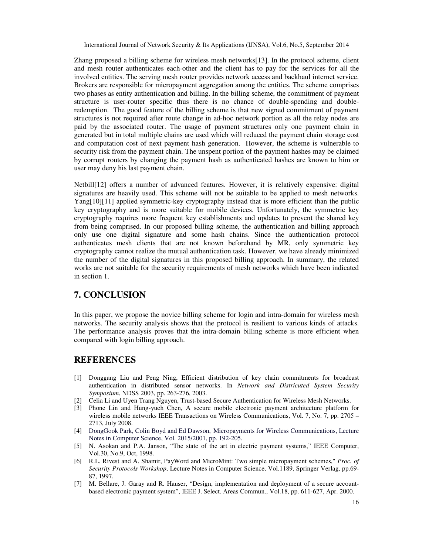Zhang proposed a billing scheme for wireless mesh networks[13]. In the protocol scheme, client and mesh router authenticates each-other and the client has to pay for the services for all the involved entities. The serving mesh router provides network access and backhaul internet service. Brokers are responsible for micropayment aggregation among the entities. The scheme comprises two phases as entity authentication and billing. In the billing scheme, the commitment of payment structure is user-router specific thus there is no chance of double-spending and doubleredemption. The good feature of the billing scheme is that new signed commitment of payment structures is not required after route change in ad-hoc network portion as all the relay nodes are paid by the associated router. The usage of payment structures only one payment chain in generated but in total multiple chains are used which will reduced the payment chain storage cost and computation cost of next payment hash generation. However, the scheme is vulnerable to security risk from the payment chain. The unspent portion of the payment hashes may be claimed by corrupt routers by changing the payment hash as authenticated hashes are known to him or user may deny his last payment chain.

Netbill[12] offers a number of advanced features. However, it is relatively expensive: digital signatures are heavily used. This scheme will not be suitable to be applied to mesh networks. Yang[10][11] applied symmetric-key cryptography instead that is more efficient than the public key cryptography and is more suitable for mobile devices. Unfortunately, the symmetric key cryptography requires more frequent key establishments and updates to prevent the shared key from being comprised. In our proposed billing scheme, the authentication and billing approach only use one digital signature and some hash chains. Since the authentication protocol authenticates mesh clients that are not known beforehand by MR, only symmetric key cryptography cannot realize the mutual authentication task. However, we have already minimized the number of the digital signatures in this proposed billing approach. In summary, the related works are not suitable for the security requirements of mesh networks which have been indicated in section 1.

# **7. CONCLUSION**

In this paper, we propose the novice billing scheme for login and intra-domain for wireless mesh networks. The security analysis shows that the protocol is resilient to various kinds of attacks. The performance analysis proves that the intra-domain billing scheme is more efficient when compared with login billing approach.

### **REFERENCES**

- [1] Donggang Liu and Peng Ning, Efficient distribution of key chain commitments for broadcast authentication in distributed sensor networks. In *Network and Districuted System Security Symposium*, NDSS 2003, pp. 263-276, 2003.
- [2] Celia Li and Uyen Trang Nguyen, Trust-based Secure Authentication for Wireless Mesh Networks.
- [3] Phone Lin and Hung-yueh Chen, A secure mobile electronic payment architecture platform for wireless mobile networks IEEE Transactions on Wireless Communications, Vol. 7, No. 7, pp. 2705 – 2713, July 2008.
- [4] DongGook Park, Colin Boyd and Ed Dawson, Micropayments for Wireless Communications, Lecture Notes in Computer Science, Vol. 2015/2001, pp. 192-205.
- [5] N. Asokan and P.A. Janson, "The state of the art in electric payment systems," IEEE Computer, Vol.30, No.9, Oct, 1998.
- [6] R.L. Rivest and A. Shamir, PayWord and MicroMint: Two simple micropayment schemes," *Proc. of Security Protocols Workshop*, Lecture Notes in Computer Science, Vol.1189, Springer Verlag, pp.69- 87, 1997.
- [7] M. Bellare, J. Garay and R. Hauser, "Design, implementation and deployment of a secure accountbased electronic payment system", IEEE J. Select. Areas Commun., Vol.18, pp. 611-627, Apr. 2000.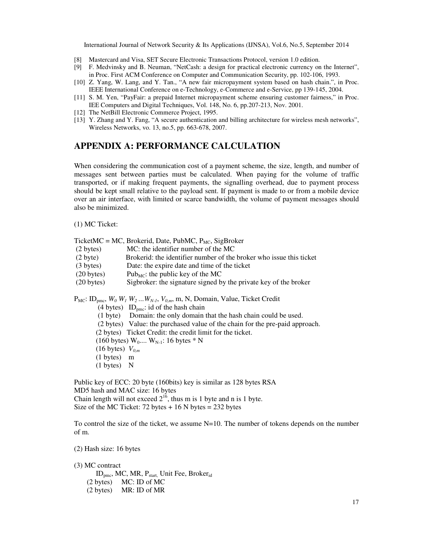- [8] Mastercard and Visa, SET Secure Electronic Transactions Protocol, version 1.0 edition.
- [9] F. Medvinsky and B. Neuman, "NetCash: a design for practical electronic currency on the Internet", in Proc. First ACM Conference on Computer and Communication Security, pp. 102-106, 1993.
- [10] Z. Yang, W. Lang, and Y. Tan., "A new fair micropayment system based on hash chain.", in Proc. IEEE International Conference on e-Technology, e-Commerce and e-Service, pp 139-145, 2004.
- [11] S. M. Yen, "PayFair: a prepaid Internet micropayment scheme ensuring customer fairness," in Proc. IEE Computers and Digital Techniques, Vol. 148, No. 6, pp.207-213, Nov. 2001.
- [12] The NetBill Electronic Commerce Project, 1995.
- [13] Y. Zhang and Y. Fang, "A secure authentication and billing architecture for wireless mesh networks", Wireless Networks, vo. 13, no.5, pp. 663-678, 2007.

# **APPENDIX A: PERFORMANCE CALCULATION**

When considering the communication cost of a payment scheme, the size, length, and number of messages sent between parties must be calculated. When paying for the volume of traffic transported, or if making frequent payments, the signalling overhead, due to payment process should be kept small relative to the payload sent. If payment is made to or from a mobile device over an air interface, with limited or scarce bandwidth, the volume of payment messages should also be minimized.

(1) MC Ticket:

| (2 bytes)             | TicketMC = MC, Brokerid, Date, PubMC, $P_{MC}$ , SigBroker<br>MC: the identifier number of the MC           |
|-----------------------|-------------------------------------------------------------------------------------------------------------|
| $(2 \text{ byte})$    | Brokerid: the identifier number of the broker who issue this ticket                                         |
| (3 bytes)             | Date: the expire date and time of the ticket                                                                |
| $(20 \text{ bytes})$  | Pub <sub>MC</sub> : the public key of the MC                                                                |
| $(20 \text{ bytes})$  | Sigbroker: the signature signed by the private key of the broker                                            |
|                       | $P_{MC}$ : ID <sub>pmc</sub> , $W_0$ $W_1$ $W_2$ $W_{N-1}$ , $V_{0,m}$ , m, N, Domain, Value, Ticket Credit |
|                       | (4 bytes) ID <sub>pmc</sub> : id of the hash chain                                                          |
|                       | (1 byte) Domain: the only domain that the hash chain could be used.                                         |
|                       | (2 bytes) Value: the purchased value of the chain for the pre-paid approach.                                |
|                       | (2 bytes) Ticket Credit: the credit limit for the ticket.                                                   |
|                       |                                                                                                             |
|                       | $(160 \text{ bytes}) W_0 \dots W_{N-1}$ : 16 bytes * N                                                      |
|                       | $(16 \text{ bytes})$ $V_{0,m}$                                                                              |
| $(1 \text{ bytes})$ m |                                                                                                             |

Public key of ECC: 20 byte (160bits) key is similar as 128 bytes RSA MD5 hash and MAC size: 16 bytes Chain length will not exceed  $2^{16}$ , thus m is 1 byte and n is 1 byte. Size of the MC Ticket:  $72$  bytes  $+ 16$  N bytes  $= 232$  bytes

To control the size of the ticket, we assume  $N=10$ . The number of tokens depends on the number of m.

(2) Hash size: 16 bytes

(3) MC contract

ID<sub>pmc</sub>, MC, MR, P<sub>start,</sub> Unit Fee, Broker<sub>id</sub> (2 bytes) MC: ID of MC (2 bytes) MR: ID of MR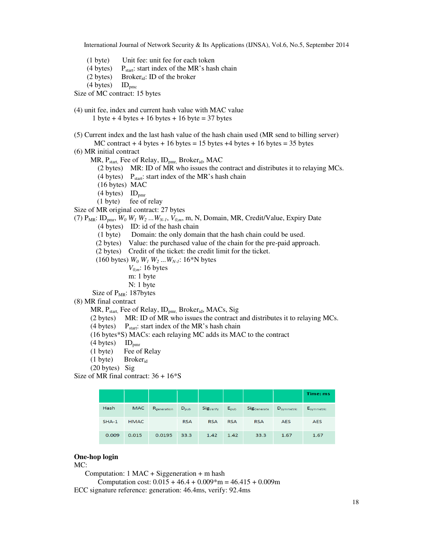- (1 byte) Unit fee: unit fee for each token
- (4 bytes)  $P_{start}$ : start index of the MR's hash chain
- (2 bytes) Brokerid: ID of the broker

 $(4 \text{ bytes})$  ID<sub>pmc</sub>

Size of MC contract: 15 bytes

- (4) unit fee, index and current hash value with MAC value 1 byte + 4 bytes + 16 bytes + 16 byte = 37 bytes
- (5) Current index and the last hash value of the hash chain used (MR send to billing server)
	- MC contract  $+ 4$  bytes  $+ 16$  bytes = 15 bytes  $+ 4$  bytes  $+ 16$  bytes = 35 bytes
- (6) MR initial contract
	- MR, P<sub>start</sub>, Fee of Relay, ID<sub>pmr,</sub> Broker<sub>id</sub>, MAC
		- (2 bytes) MR: ID of MR who issues the contract and distributes it to relaying MCs.
		- (4 bytes)  $P_{start}$ : start index of the MR's hash chain
		- (16 bytes) MAC
		- $(4 \text{ bytes})$  ID<sub>pmr</sub>
		- (1 byte) fee of relay

Size of MR original contract: 27 bytes

- (7)  $P_{MR}$ : ID<sub>pmr</sub>,  $W_0$   $W_1$   $W_2$  ...  $W_{N-1}$ ,  $V_{0,m}$ , m, N, Domain, MR, Credit/Value, Expiry Date
	- (4 bytes) ID: id of the hash chain
	- (1 byte) Domain: the only domain that the hash chain could be used.
	- (2 bytes) Value: the purchased value of the chain for the pre-paid approach.
	- (2 bytes) Credit of the ticket: the credit limit for the ticket.
	- (160 bytes)  $W_0 W_1 W_2 ... W_{N-1}$ : 16<sup>\*</sup>N bytes
		- *V0,m*: 16 bytes
		- m: 1 byte
		- N: 1 byte

Size of  $P_{MR}$ : 187bytes

(8) MR final contract

 $MR$ ,  $P_{start}$ , Fee of Relay,  $ID_{nmr}$ , Broker<sub>id</sub>, MACs, Sig

(2 bytes) MR: ID of MR who issues the contract and distributes it to relaying MCs.

- (4 bytes)  $P_{start}$ : start index of the MR's hash chain
- (16 bytes\*S) MACs: each relaying MC adds its MAC to the contract
- (4 bytes)  $ID_{pmr}$ <br>(1 byte) Fee of
- Fee of Relay
- (1 byte) Brokerid
- (20 bytes) Sig

Size of MR final contract:  $36 + 16*$ S

|         |             |             |                  |                       |               |             |                        | Time: ms        |
|---------|-------------|-------------|------------------|-----------------------|---------------|-------------|------------------------|-----------------|
| Hash    | <b>MAC</b>  | Rgeneration | $D_{\text{pub}}$ | Sig <sub>Verify</sub> | $E_{\rm pub}$ | SigGenerate | D <sub>symmetric</sub> | $E_{symmetric}$ |
| $SHA-1$ | <b>HMAC</b> |             | <b>RSA</b>       | <b>RSA</b>            | <b>RSA</b>    | <b>RSA</b>  | <b>AES</b>             | <b>AES</b>      |
| 0.009   | 0.015       | 0.0195      | 33.3             | 1.42                  | 1.42          | 33.3        | 1.67                   | 1.67            |

### **One-hop login**

MC:

Computation: 1 MAC + Siggeneration + m hash

Computation cost:  $0.015 + 46.4 + 0.009$ <sup>\*</sup>m =  $46.415 + 0.009$ m

ECC signature reference: generation: 46.4ms, verify: 92.4ms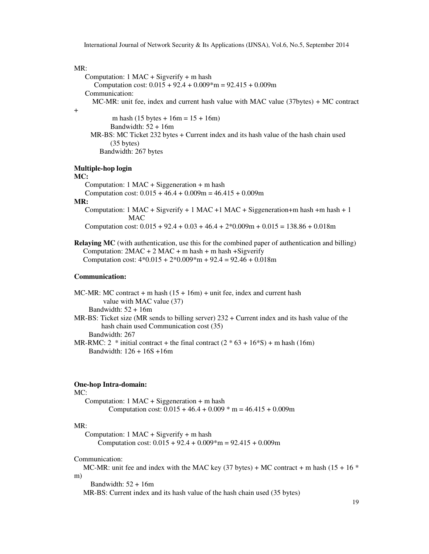### MR:

+

```
 Computation: 1 MAC + Sigverify + m hash 
      Computation cost: 0.015 + 92.4 + 0.009*m = 92.415 + 0.009m
    Communication: 
      MC-MR: unit fee, index and current hash value with MAC value (37bytes) + MC contract 
            m hash (15 bytes + 16m = 15 + 16m)
           Bandwidth: 52 + 16m MR-BS: MC Ticket 232 bytes + Current index and its hash value of the hash chain used 
            (35 bytes) 
         Bandwidth: 267 bytes 
Multiple-hop login
```
# **MC:**

 Computation: 1 MAC + Siggeneration + m hash Computation cost:  $0.015 + 46.4 + 0.009$ m =  $46.415 + 0.009$ m

#### **MR:**

Computation:  $1 \text{ MAC} + \text{Sigverify} + 1 \text{ MAC} + \text{MAC} + \text{Siggeneration} + \text{m hash} + \text{m hash} + 1$ MAC

Computation cost:  $0.015 + 92.4 + 0.03 + 46.4 + 2*0.009m + 0.015 = 138.86 + 0.018m$ 

**Relaying MC** (with authentication, use this for the combined paper of authentication and billing) Computation:  $2MAC + 2 MAC + m hash + m hash + Sigverify$ Computation cost:  $4*0.015 + 2*0.009*m + 92.4 = 92.46 + 0.018m$ 

### **Communication:**

MC-MR: MC contract + m hash  $(15 + 16m)$  + unit fee, index and current hash value with MAC value (37) Bandwidth:  $52 + 16m$ MR-BS: Ticket size (MR sends to billing server)  $232 +$  Current index and its hash value of the hash chain used Communication cost (35) Bandwidth: 267

MR-RMC:  $2 * initial contract + the final contract (2 * 63 + 16 * S) + m hash (16m)$ Bandwidth: 126 + 16S +16m

### **One-hop Intra-domain:**

#### MC:

 Computation: 1 MAC + Siggeneration + m hash Computation cost:  $0.015 + 46.4 + 0.009$  \* m =  $46.415 + 0.009$  m

#### MR:

 Computation: 1 MAC + Sigverify + m hash Computation cost:  $0.015 + 92.4 + 0.009$ \*m =  $92.415 + 0.009$ m

#### Communication:

MC-MR: unit fee and index with the MAC key (37 bytes) + MC contract + m hash (15 + 16  $*$ m)

Bandwidth:  $52 + 16m$ 

MR-BS: Current index and its hash value of the hash chain used (35 bytes)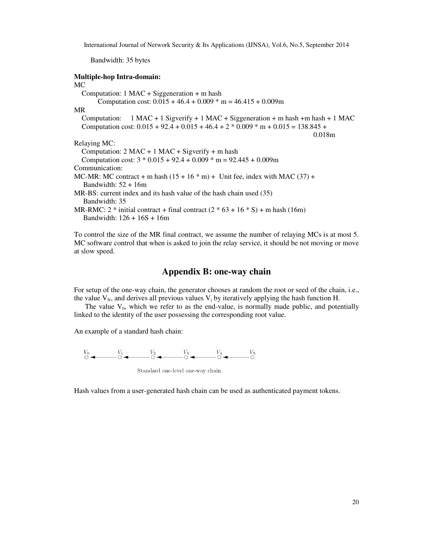Bandwidth: 35 bytes

### **Multiple-hop Intra-domain:**

MC Computation:  $1$  MAC + Siggeneration + m hash Computation cost:  $0.015 + 46.4 + 0.009$  \* m =  $46.415 + 0.009$ m MR Computation:  $1$  MAC + 1 Sigverify + 1 MAC + Siggeneration + m hash + m hash + 1 MAC Computation cost:  $0.015 + 92.4 + 0.015 + 46.4 + 2 * 0.009 * m + 0.015 = 138.845 +$  0.018m Relaying MC: Computation:  $2$  MAC + 1 MAC + Sigverify + m hash Computation cost:  $3 * 0.015 + 92.4 + 0.009 * m = 92.445 + 0.009m$ Communication: MC-MR: MC contract + m hash  $(15 + 16 * m) +$  Unit fee, index with MAC  $(37) +$ Bandwidth:  $52 + 16m$ MR-BS: current index and its hash value of the hash chain used (35) Bandwidth: 35 MR-RMC:  $2 * initial contract + final contract (2 * 63 + 16 * S) + m hash (16m)$ Bandwidth: 126 + 16S + 16m

To control the size of the MR final contract, we assume the number of relaying MCs is at most 5. MC software control that when is asked to join the relay service, it should be not moving or move at slow speed.

### **Appendix B: one-way chain**

For setup of the one-way chain, the generator chooses at random the root or seed of the chain, i.e., the value  $V_N$ , and derives all previous values  $V_i$  by iteratively applying the hash function H.

The value  $V_0$ , which we refer to as the end-value, is normally made public, and potentially linked to the identity of the user possessing the corresponding root value.

An example of a standard hash chain:



Hash values from a user-generated hash chain can be used as authenticated payment tokens.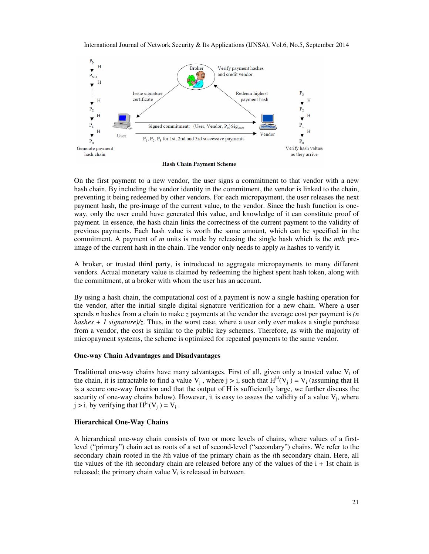



**Hash Chain Payment Scheme** 

On the first payment to a new vendor, the user signs a commitment to that vendor with a new hash chain. By including the vendor identity in the commitment, the vendor is linked to the chain, preventing it being redeemed by other vendors. For each micropayment, the user releases the next payment hash, the pre-image of the current value, to the vendor. Since the hash function is oneway, only the user could have generated this value, and knowledge of it can constitute proof of payment. In essence, the hash chain links the correctness of the current payment to the validity of previous payments. Each hash value is worth the same amount, which can be specified in the commitment. A payment of *m* units is made by releasing the single hash which is the *mth* preimage of the current hash in the chain. The vendor only needs to apply *m* hashes to verify it.

A broker, or trusted third party, is introduced to aggregate micropayments to many different vendors. Actual monetary value is claimed by redeeming the highest spent hash token, along with the commitment, at a broker with whom the user has an account.

By using a hash chain, the computational cost of a payment is now a single hashing operation for the vendor, after the initial single digital signature verification for a new chain. Where a user spends *n* hashes from a chain to make *z* payments at the vendor the average cost per payment is *(n hashes + 1 signature)/z*. Thus, in the worst case, where a user only ever makes a single purchase from a vendor, the cost is similar to the public key schemes. Therefore, as with the majority of micropayment systems, the scheme is optimized for repeated payments to the same vendor.

#### **One-way Chain Advantages and Disadvantages**

Traditional one-way chains have many advantages. First of all, given only a trusted value  $V_i$  of the chain, it is intractable to find a value  $V_j$ , where  $j > i$ , such that  $H^{j-i}(V_j) = V_i$  (assuming that H is a secure one-way function and that the output of H is sufficiently large, we further discuss the security of one-way chains below). However, it is easy to assess the validity of a value  $V_j$ , where  $j > i$ , by verifying that  $H^{j-i}(V_j) = V_i$ .

### **Hierarchical One-Way Chains**

A hierarchical one-way chain consists of two or more levels of chains, where values of a firstlevel ("primary") chain act as roots of a set of second-level ("secondary") chains. We refer to the secondary chain rooted in the *i*th value of the primary chain as the *i*th secondary chain. Here, all the values of the *i*th secondary chain are released before any of the values of the i + 1st chain is released; the primary chain value  $V_i$  is released in between.